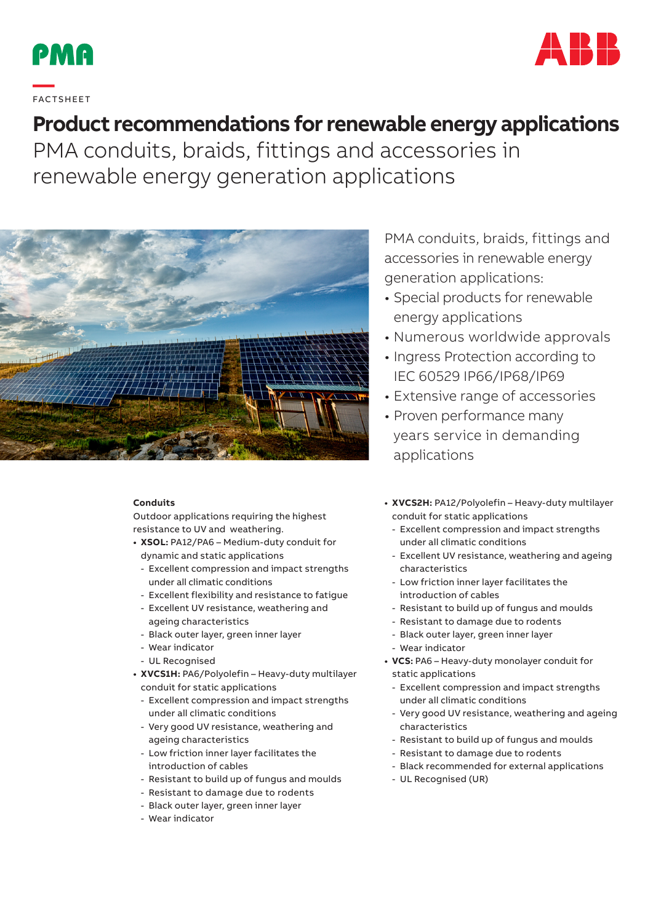



# **—**  FAC TS H EE T

# **Product recommendations for renewable energy applications**

PMA conduits, braids, fittings and accessories in renewable energy generation applications



#### **Conduits**

Outdoor applications requiring the highest resistance to UV and weathering.

- **• XSOL:** PA12/PA6 Medium-duty conduit for dynamic and static applications
	- Excellent compression and impact strengths under all climatic conditions
	- Excellent flexibility and resistance to fatigue
	- Excellent UV resistance, weathering and ageing characteristics
	- Black outer layer, green inner layer
	- Wear indicator
	- UL Recognised
- **• XVCS1H:** PA6/Polyolefin Heavy-duty multilayer conduit for static applications
	- Excellent compression and impact strengths under all climatic conditions
	- Very good UV resistance, weathering and ageing characteristics
	- Low friction inner layer facilitates the introduction of cables
	- Resistant to build up of fungus and moulds
	- Resistant to damage due to rodents
	- Black outer layer, green inner layer
	- Wear indicator

PMA conduits, braids, fittings and accessories in renewable energy generation applications:

- Special products for renewable energy applications
- Numerous worldwide approvals
- Ingress Protection according to IEC 60529 IP66/IP68/IP69
- Extensive range of accessories
- Proven performance many years service in demanding applications
- **• XVCS2H:** PA12/Polyolefin Heavy-duty multilayer conduit for static applications
	- Excellent compression and impact strengths under all climatic conditions
	- Excellent UV resistance, weathering and ageing characteristics
	- Low friction inner layer facilitates the introduction of cables
	- Resistant to build up of fungus and moulds
	- Resistant to damage due to rodents
	- Black outer layer, green inner layer
	- Wear indicator
- **• VCS:** PA6 Heavy-duty monolayer conduit for static applications
- Excellent compression and impact strengths under all climatic conditions
- Very good UV resistance, weathering and ageing characteristics
- Resistant to build up of fungus and moulds
- Resistant to damage due to rodents
- Black recommended for external applications
- UL Recognised (UR)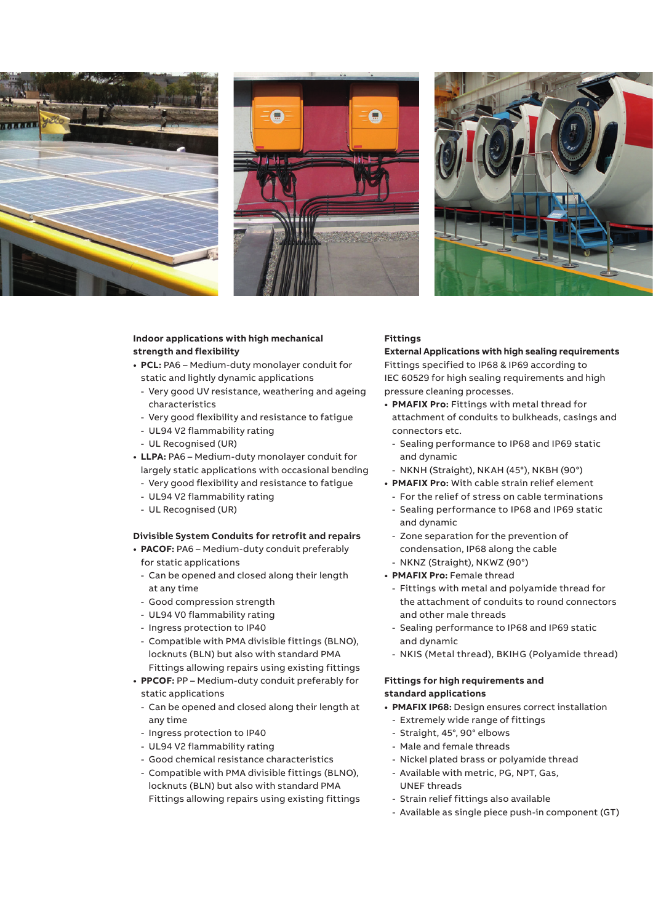





### **Indoor applications with high mechanical strength and flexibility**

- **• PCL:** PA6 Medium-duty monolayer conduit for static and lightly dynamic applications
	- Very good UV resistance, weathering and ageing characteristics
	- Very good flexibility and resistance to fatigue
	- UL94 V2 flammability rating
- UL Recognised (UR)
- **• LLPA:** PA6 Medium-duty monolayer conduit for largely static applications with occasional bending
	- Very good flexibility and resistance to fatigue
	- UL94 V2 flammability rating
	- UL Recognised (UR)

#### **Divisible System Conduits for retrofit and repairs**

- **• PACOF:** PA6 Medium-duty conduit preferably for static applications
	- Can be opened and closed along their length at any time
	- Good compression strength
	- UL94 V0 flammability rating
	- Ingress protection to IP40
	- Compatible with PMA divisible fittings (BLNO), locknuts (BLN) but also with standard PMA Fittings allowing repairs using existing fittings
- **• PPCOF:** PP Medium-duty conduit preferably for static applications
	- Can be opened and closed along their length at any time
	- Ingress protection to IP40
	- UL94 V2 flammability rating
	- Good chemical resistance characteristics
	- Compatible with PMA divisible fittings (BLNO), locknuts (BLN) but also with standard PMA Fittings allowing repairs using existing fittings

#### **Fittings**

**External Applications with high sealing requirements** Fittings specified to IP68 & IP69 according to IEC 60529 for high sealing requirements and high pressure cleaning processes.

- **• PMAFIX Pro:** Fittings with metal thread for attachment of conduits to bulkheads, casings and connectors etc.
	- Sealing performance to IP68 and IP69 static and dynamic
	- NKNH (Straight), NKAH (45°), NKBH (90°)
- **• PMAFIX Pro:** With cable strain relief element
	- For the relief of stress on cable terminations
	- Sealing performance to IP68 and IP69 static and dynamic
	- Zone separation for the prevention of condensation, IP68 along the cable - NKNZ (Straight), NKWZ (90°)
- **• PMAFIX Pro:** Female thread
	- Fittings with metal and polyamide thread for the attachment of conduits to round connectors and other male threads
	- Sealing performance to IP68 and IP69 static and dynamic
	- NKIS (Metal thread), BKIHG (Polyamide thread)

#### **Fittings for high requirements and standard applications**

- **• PMAFIX IP68:** Design ensures correct installation
	- Extremely wide range of fittings
	- Straight, 45°, 90° elbows
- Male and female threads
- Nickel plated brass or polyamide thread
- Available with metric, PG, NPT, Gas, UNEF threads
- Strain relief fittings also available
- Available as single piece push-in component (GT)